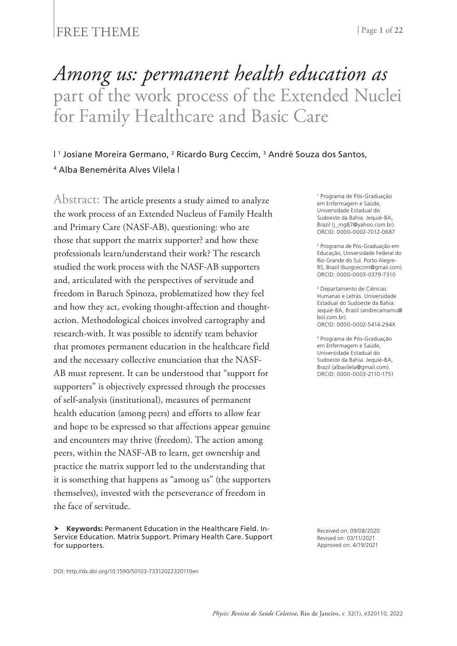### FREE THEME | Page 1 of 22

# *Among us: permanent health education as* part of the work process of the Extended Nuclei for Family Healthcare and Basic Care

### | 1 Josiane Moreira Germano, 2 Ricardo Burg Ceccim, 3 André Souza dos Santos, <sup>4</sup> Alba Benemérita Alves Vilela |

Abstract: The article presents a study aimed to analyze the work process of an Extended Nucleus of Family Health and Primary Care (NASF-AB), questioning: who are those that support the matrix supporter? and how these professionals learn/understand their work? The research studied the work process with the NASF-AB supporters and, articulated with the perspectives of servitude and freedom in Baruch Spinoza, problematized how they feel and how they act, evoking thought-affection and thoughtaction. Methodological choices involved cartography and research-with. It was possible to identify team behavior that promotes permanent education in the healthcare field and the necessary collective enunciation that the NASF-AB must represent. It can be understood that "support for supporters" is objectively expressed through the processes of self-analysis (institutional), measures of permanent health education (among peers) and efforts to allow fear and hope to be expressed so that affections appear genuine and encounters may thrive (freedom). The action among peers, within the NASF-AB to learn, get ownership and practice the matrix support led to the understanding that it is something that happens as "among us" (the supporters themselves), invested with the perseverance of freedom in the face of servitude.

 **Keywords:** Permanent Education in the Healthcare Field. In-Service Education. Matrix Support. Primary Health Care. Support for supporters.

1 Programa de Pós-Graduação em Enfermagem e Saúde, Universidade Estadual do Sudoeste da Bahia. Jequié-BA, Brazil (j\_mg87@yahoo.com.br). ORCID: 0000-0002-7012-0687

2 Programa de Pós-Graduação em Educação, Universidade Federal do Rio Grande do Sul. Porto Alegre-RS, Brazil (burgceccim@gmail.com). ORCID: 0000-0003-0379-7310

3 Departamento de Ciências Humanas e Letras. Universidade Estadual do Sudoeste da Bahia. Jequié-BA, Brazil (andrecamamu@ bol.com.br). ORCID: 0000-0002-5414-294X

4 Programa de Pós-Graduação em Enfermagem e Saúde, Universidade Estadual do Sudoeste da Bahia. Jequié-BA, Brazil (albavilela@gmail.com). ORCID: 0000-0003-2110-1751

Received on: 09/08/2020 Revised on: 03/11/2021 Approved on: 4/19/2021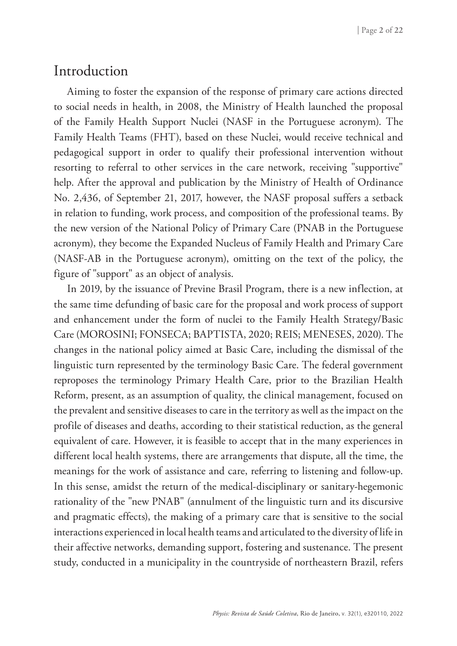# Introduction

Aiming to foster the expansion of the response of primary care actions directed to social needs in health, in 2008, the Ministry of Health launched the proposal of the Family Health Support Nuclei (NASF in the Portuguese acronym). The Family Health Teams (FHT), based on these Nuclei, would receive technical and pedagogical support in order to qualify their professional intervention without resorting to referral to other services in the care network, receiving "supportive" help. After the approval and publication by the Ministry of Health of Ordinance No. 2,436, of September 21, 2017, however, the NASF proposal suffers a setback in relation to funding, work process, and composition of the professional teams. By the new version of the National Policy of Primary Care (PNAB in the Portuguese acronym), they become the Expanded Nucleus of Family Health and Primary Care (NASF-AB in the Portuguese acronym), omitting on the text of the policy, the figure of "support" as an object of analysis.

In 2019, by the issuance of Previne Brasil Program, there is a new inflection, at the same time defunding of basic care for the proposal and work process of support and enhancement under the form of nuclei to the Family Health Strategy/Basic Care (MOROSINI; FONSECA; BAPTISTA, 2020; REIS; MENESES, 2020). The changes in the national policy aimed at Basic Care, including the dismissal of the linguistic turn represented by the terminology Basic Care. The federal government reproposes the terminology Primary Health Care, prior to the Brazilian Health Reform, present, as an assumption of quality, the clinical management, focused on the prevalent and sensitive diseases to care in the territory as well as the impact on the profile of diseases and deaths, according to their statistical reduction, as the general equivalent of care. However, it is feasible to accept that in the many experiences in different local health systems, there are arrangements that dispute, all the time, the meanings for the work of assistance and care, referring to listening and follow-up. In this sense, amidst the return of the medical-disciplinary or sanitary-hegemonic rationality of the "new PNAB" (annulment of the linguistic turn and its discursive and pragmatic effects), the making of a primary care that is sensitive to the social interactions experienced in local health teams and articulated to the diversity of life in their affective networks, demanding support, fostering and sustenance. The present study, conducted in a municipality in the countryside of northeastern Brazil, refers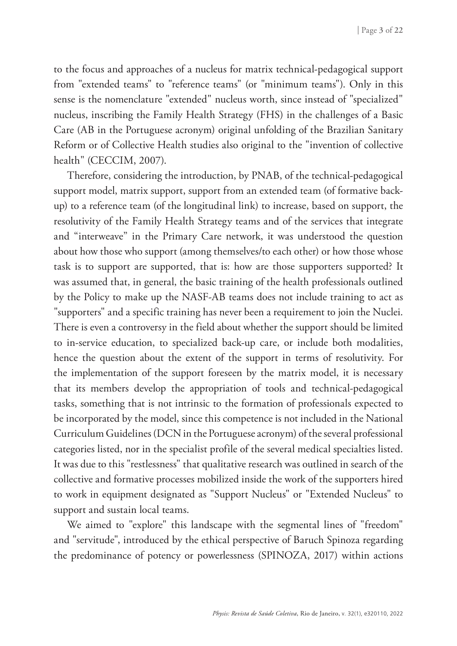to the focus and approaches of a nucleus for matrix technical-pedagogical support from "extended teams" to "reference teams" (or "minimum teams"). Only in this sense is the nomenclature "extended" nucleus worth, since instead of "specialized" nucleus, inscribing the Family Health Strategy (FHS) in the challenges of a Basic Care (AB in the Portuguese acronym) original unfolding of the Brazilian Sanitary Reform or of Collective Health studies also original to the "invention of collective health" (CECCIM, 2007).

Therefore, considering the introduction, by PNAB, of the technical-pedagogical support model, matrix support, support from an extended team (of formative backup) to a reference team (of the longitudinal link) to increase, based on support, the resolutivity of the Family Health Strategy teams and of the services that integrate and "interweave" in the Primary Care network, it was understood the question about how those who support (among themselves/to each other) or how those whose task is to support are supported, that is: how are those supporters supported? It was assumed that, in general, the basic training of the health professionals outlined by the Policy to make up the NASF-AB teams does not include training to act as "supporters" and a specific training has never been a requirement to join the Nuclei. There is even a controversy in the field about whether the support should be limited to in-service education, to specialized back-up care, or include both modalities, hence the question about the extent of the support in terms of resolutivity. For the implementation of the support foreseen by the matrix model, it is necessary that its members develop the appropriation of tools and technical-pedagogical tasks, something that is not intrinsic to the formation of professionals expected to be incorporated by the model, since this competence is not included in the National Curriculum Guidelines (DCN in the Portuguese acronym) of the several professional categories listed, nor in the specialist profile of the several medical specialties listed. It was due to this "restlessness" that qualitative research was outlined in search of the collective and formative processes mobilized inside the work of the supporters hired to work in equipment designated as "Support Nucleus" or "Extended Nucleus" to support and sustain local teams.

We aimed to "explore" this landscape with the segmental lines of "freedom" and "servitude", introduced by the ethical perspective of Baruch Spinoza regarding the predominance of potency or powerlessness (SPINOZA, 2017) within actions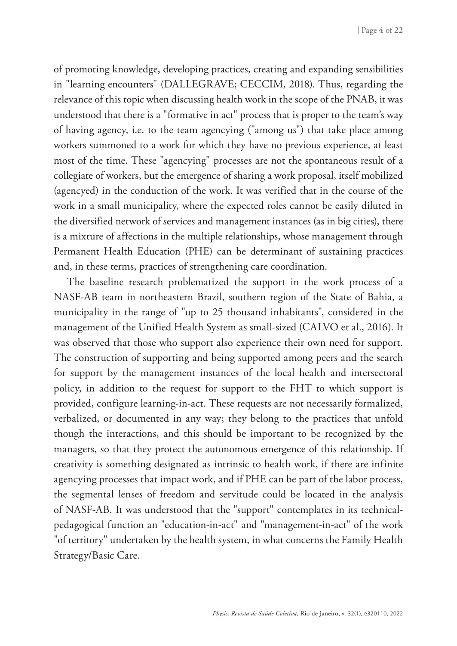of promoting knowledge, developing practices, creating and expanding sensibilities in "learning encounters" (DALLEGRAVE; CECCIM, 2018). Thus, regarding the relevance of this topic when discussing health work in the scope of the PNAB, it was understood that there is a "formative in act" process that is proper to the team's way of having agency, i.e. to the team agencying ("among us") that take place among workers summoned to a work for which they have no previous experience, at least most of the time. These "agencying" processes are not the spontaneous result of a collegiate of workers, but the emergence of sharing a work proposal, itself mobilized (agencyed) in the conduction of the work. It was verified that in the course of the work in a small municipality, where the expected roles cannot be easily diluted in the diversified network of services and management instances (as in big cities), there is a mixture of affections in the multiple relationships, whose management through Permanent Health Education (PHE) can be determinant of sustaining practices and, in these terms, practices of strengthening care coordination.

The baseline research problematized the support in the work process of a NASF-AB team in northeastern Brazil, southern region of the State of Bahia, a municipality in the range of "up to 25 thousand inhabitants", considered in the management of the Unified Health System as small-sized (CALVO et al., 2016). It was observed that those who support also experience their own need for support. The construction of supporting and being supported among peers and the search for support by the management instances of the local health and intersectoral policy, in addition to the request for support to the FHT to which support is provided, configure learning-in-act. These requests are not necessarily formalized, verbalized, or documented in any way; they belong to the practices that unfold though the interactions, and this should be important to be recognized by the managers, so that they protect the autonomous emergence of this relationship. If creativity is something designated as intrinsic to health work, if there are infinite agencying processes that impact work, and if PHE can be part of the labor process, the segmental lenses of freedom and servitude could be located in the analysis of NASF-AB. It was understood that the "support" contemplates in its technicalpedagogical function an "education-in-act" and "management-in-act" of the work "of territory" undertaken by the health system, in what concerns the Family Health Strategy/Basic Care.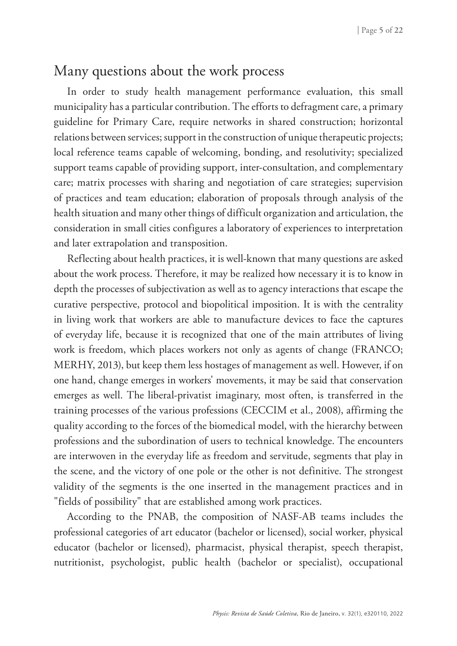# Many questions about the work process

In order to study health management performance evaluation, this small municipality has a particular contribution. The efforts to defragment care, a primary guideline for Primary Care, require networks in shared construction; horizontal relations between services; support in the construction of unique therapeutic projects; local reference teams capable of welcoming, bonding, and resolutivity; specialized support teams capable of providing support, inter-consultation, and complementary care; matrix processes with sharing and negotiation of care strategies; supervision of practices and team education; elaboration of proposals through analysis of the health situation and many other things of difficult organization and articulation, the consideration in small cities configures a laboratory of experiences to interpretation and later extrapolation and transposition.

Reflecting about health practices, it is well-known that many questions are asked about the work process. Therefore, it may be realized how necessary it is to know in depth the processes of subjectivation as well as to agency interactions that escape the curative perspective, protocol and biopolitical imposition. It is with the centrality in living work that workers are able to manufacture devices to face the captures of everyday life, because it is recognized that one of the main attributes of living work is freedom, which places workers not only as agents of change (FRANCO; MERHY, 2013), but keep them less hostages of management as well. However, if on one hand, change emerges in workers' movements, it may be said that conservation emerges as well. The liberal-privatist imaginary, most often, is transferred in the training processes of the various professions (CECCIM et al., 2008), affirming the quality according to the forces of the biomedical model, with the hierarchy between professions and the subordination of users to technical knowledge. The encounters are interwoven in the everyday life as freedom and servitude, segments that play in the scene, and the victory of one pole or the other is not definitive. The strongest validity of the segments is the one inserted in the management practices and in "fields of possibility" that are established among work practices.

According to the PNAB, the composition of NASF-AB teams includes the professional categories of art educator (bachelor or licensed), social worker, physical educator (bachelor or licensed), pharmacist, physical therapist, speech therapist, nutritionist, psychologist, public health (bachelor or specialist), occupational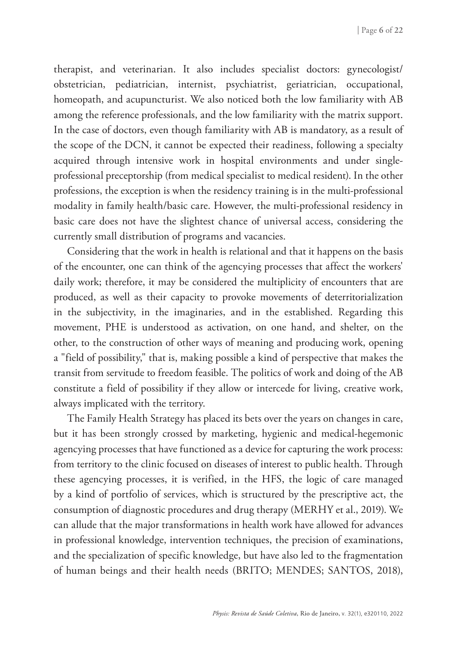therapist, and veterinarian. It also includes specialist doctors: gynecologist/ obstetrician, pediatrician, internist, psychiatrist, geriatrician, occupational, homeopath, and acupuncturist. We also noticed both the low familiarity with AB among the reference professionals, and the low familiarity with the matrix support. In the case of doctors, even though familiarity with AB is mandatory, as a result of the scope of the DCN, it cannot be expected their readiness, following a specialty acquired through intensive work in hospital environments and under singleprofessional preceptorship (from medical specialist to medical resident). In the other professions, the exception is when the residency training is in the multi-professional modality in family health/basic care. However, the multi-professional residency in basic care does not have the slightest chance of universal access, considering the currently small distribution of programs and vacancies.

Considering that the work in health is relational and that it happens on the basis of the encounter, one can think of the agencying processes that affect the workers' daily work; therefore, it may be considered the multiplicity of encounters that are produced, as well as their capacity to provoke movements of deterritorialization in the subjectivity, in the imaginaries, and in the established. Regarding this movement, PHE is understood as activation, on one hand, and shelter, on the other, to the construction of other ways of meaning and producing work, opening a "field of possibility," that is, making possible a kind of perspective that makes the transit from servitude to freedom feasible. The politics of work and doing of the AB constitute a field of possibility if they allow or intercede for living, creative work, always implicated with the territory.

The Family Health Strategy has placed its bets over the years on changes in care, but it has been strongly crossed by marketing, hygienic and medical-hegemonic agencying processes that have functioned as a device for capturing the work process: from territory to the clinic focused on diseases of interest to public health. Through these agencying processes, it is verified, in the HFS, the logic of care managed by a kind of portfolio of services, which is structured by the prescriptive act, the consumption of diagnostic procedures and drug therapy (MERHY et al., 2019). We can allude that the major transformations in health work have allowed for advances in professional knowledge, intervention techniques, the precision of examinations, and the specialization of specific knowledge, but have also led to the fragmentation of human beings and their health needs (BRITO; MENDES; SANTOS, 2018),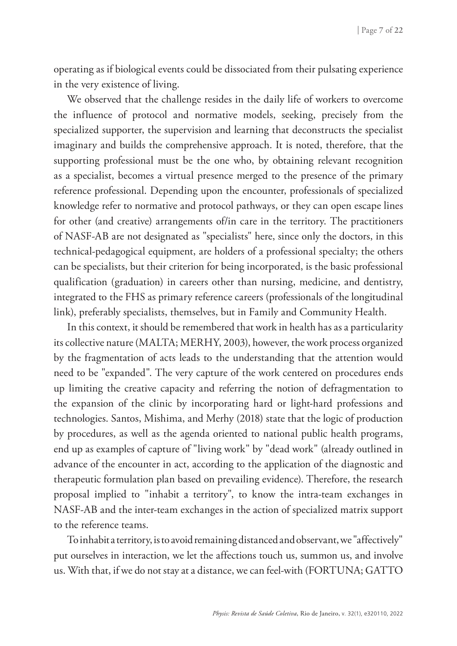operating as if biological events could be dissociated from their pulsating experience in the very existence of living.

We observed that the challenge resides in the daily life of workers to overcome the influence of protocol and normative models, seeking, precisely from the specialized supporter, the supervision and learning that deconstructs the specialist imaginary and builds the comprehensive approach. It is noted, therefore, that the supporting professional must be the one who, by obtaining relevant recognition as a specialist, becomes a virtual presence merged to the presence of the primary reference professional. Depending upon the encounter, professionals of specialized knowledge refer to normative and protocol pathways, or they can open escape lines for other (and creative) arrangements of/in care in the territory. The practitioners of NASF-AB are not designated as "specialists" here, since only the doctors, in this technical-pedagogical equipment, are holders of a professional specialty; the others can be specialists, but their criterion for being incorporated, is the basic professional qualification (graduation) in careers other than nursing, medicine, and dentistry, integrated to the FHS as primary reference careers (professionals of the longitudinal link), preferably specialists, themselves, but in Family and Community Health.

In this context, it should be remembered that work in health has as a particularity its collective nature (MALTA; MERHY, 2003), however, the work process organized by the fragmentation of acts leads to the understanding that the attention would need to be "expanded". The very capture of the work centered on procedures ends up limiting the creative capacity and referring the notion of defragmentation to the expansion of the clinic by incorporating hard or light-hard professions and technologies. Santos, Mishima, and Merhy (2018) state that the logic of production by procedures, as well as the agenda oriented to national public health programs, end up as examples of capture of "living work" by "dead work" (already outlined in advance of the encounter in act, according to the application of the diagnostic and therapeutic formulation plan based on prevailing evidence). Therefore, the research proposal implied to "inhabit a territory", to know the intra-team exchanges in NASF-AB and the inter-team exchanges in the action of specialized matrix support to the reference teams.

To inhabit a territory, is to avoid remaining distanced and observant, we "affectively" put ourselves in interaction, we let the affections touch us, summon us, and involve us. With that, if we do not stay at a distance, we can feel-with (FORTUNA; GATTO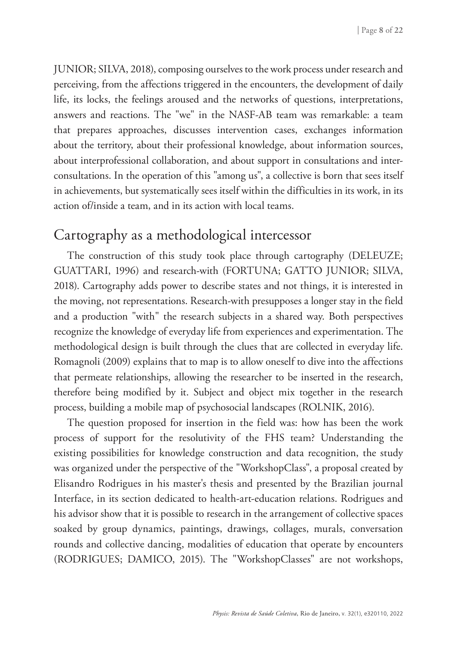JUNIOR; SILVA, 2018), composing ourselves to the work process under research and perceiving, from the affections triggered in the encounters, the development of daily life, its locks, the feelings aroused and the networks of questions, interpretations, answers and reactions. The "we" in the NASF-AB team was remarkable: a team that prepares approaches, discusses intervention cases, exchanges information about the territory, about their professional knowledge, about information sources, about interprofessional collaboration, and about support in consultations and interconsultations. In the operation of this "among us", a collective is born that sees itself in achievements, but systematically sees itself within the difficulties in its work, in its action of/inside a team, and in its action with local teams.

## Cartography as a methodological intercessor

The construction of this study took place through cartography (DELEUZE; GUATTARI, 1996) and research-with (FORTUNA; GATTO JUNIOR; SILVA, 2018). Cartography adds power to describe states and not things, it is interested in the moving, not representations. Research-with presupposes a longer stay in the field and a production "with" the research subjects in a shared way. Both perspectives recognize the knowledge of everyday life from experiences and experimentation. The methodological design is built through the clues that are collected in everyday life. Romagnoli (2009) explains that to map is to allow oneself to dive into the affections that permeate relationships, allowing the researcher to be inserted in the research, therefore being modified by it. Subject and object mix together in the research process, building a mobile map of psychosocial landscapes (ROLNIK, 2016).

The question proposed for insertion in the field was: how has been the work process of support for the resolutivity of the FHS team? Understanding the existing possibilities for knowledge construction and data recognition, the study was organized under the perspective of the "WorkshopClass", a proposal created by Elisandro Rodrigues in his master's thesis and presented by the Brazilian journal Interface, in its section dedicated to health-art-education relations. Rodrigues and his advisor show that it is possible to research in the arrangement of collective spaces soaked by group dynamics, paintings, drawings, collages, murals, conversation rounds and collective dancing, modalities of education that operate by encounters (RODRIGUES; DAMICO, 2015). The "WorkshopClasses" are not workshops,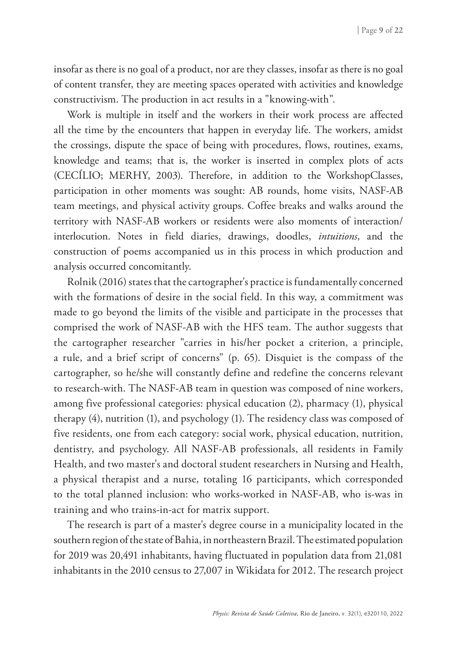insofar as there is no goal of a product, nor are they classes, insofar as there is no goal of content transfer, they are meeting spaces operated with activities and knowledge constructivism. The production in act results in a "knowing-with".

Work is multiple in itself and the workers in their work process are affected all the time by the encounters that happen in everyday life. The workers, amidst the crossings, dispute the space of being with procedures, flows, routines, exams, knowledge and teams; that is, the worker is inserted in complex plots of acts (CECÍLIO; MERHY, 2003). Therefore, in addition to the WorkshopClasses, participation in other moments was sought: AB rounds, home visits, NASF-AB team meetings, and physical activity groups. Coffee breaks and walks around the territory with NASF-AB workers or residents were also moments of interaction/ interlocution. Notes in field diaries, drawings, doodles, *intuitions*, and the construction of poems accompanied us in this process in which production and analysis occurred concomitantly.

Rolnik (2016) states that the cartographer's practice is fundamentally concerned with the formations of desire in the social field. In this way, a commitment was made to go beyond the limits of the visible and participate in the processes that comprised the work of NASF-AB with the HFS team. The author suggests that the cartographer researcher "carries in his/her pocket a criterion, a principle, a rule, and a brief script of concerns" (p. 65). Disquiet is the compass of the cartographer, so he/she will constantly define and redefine the concerns relevant to research-with. The NASF-AB team in question was composed of nine workers, among five professional categories: physical education (2), pharmacy (1), physical therapy (4), nutrition (1), and psychology (1). The residency class was composed of five residents, one from each category: social work, physical education, nutrition, dentistry, and psychology. All NASF-AB professionals, all residents in Family Health, and two master's and doctoral student researchers in Nursing and Health, a physical therapist and a nurse, totaling 16 participants, which corresponded to the total planned inclusion: who works-worked in NASF-AB, who is-was in training and who trains-in-act for matrix support.

The research is part of a master's degree course in a municipality located in the southern region of the state of Bahia, in northeastern Brazil. The estimated population for 2019 was 20,491 inhabitants, having fluctuated in population data from 21,081 inhabitants in the 2010 census to 27,007 in Wikidata for 2012. The research project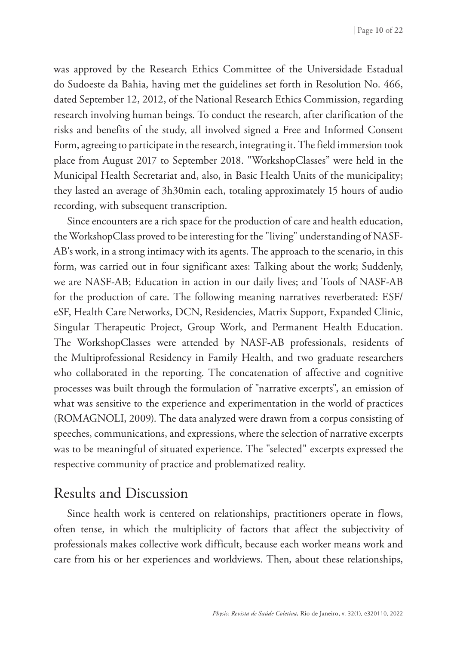was approved by the Research Ethics Committee of the Universidade Estadual do Sudoeste da Bahia, having met the guidelines set forth in Resolution No. 466, dated September 12, 2012, of the National Research Ethics Commission, regarding research involving human beings. To conduct the research, after clarification of the risks and benefits of the study, all involved signed a Free and Informed Consent Form, agreeing to participate in the research, integrating it. The field immersion took place from August 2017 to September 2018. "WorkshopClasses" were held in the Municipal Health Secretariat and, also, in Basic Health Units of the municipality; they lasted an average of 3h30min each, totaling approximately 15 hours of audio recording, with subsequent transcription.

Since encounters are a rich space for the production of care and health education, the WorkshopClass proved to be interesting for the "living" understanding of NASF-AB's work, in a strong intimacy with its agents. The approach to the scenario, in this form, was carried out in four significant axes: Talking about the work; Suddenly, we are NASF-AB; Education in action in our daily lives; and Tools of NASF-AB for the production of care. The following meaning narratives reverberated: ESF/ eSF, Health Care Networks, DCN, Residencies, Matrix Support, Expanded Clinic, Singular Therapeutic Project, Group Work, and Permanent Health Education. The WorkshopClasses were attended by NASF-AB professionals, residents of the Multiprofessional Residency in Family Health, and two graduate researchers who collaborated in the reporting. The concatenation of affective and cognitive processes was built through the formulation of "narrative excerpts", an emission of what was sensitive to the experience and experimentation in the world of practices (ROMAGNOLI, 2009). The data analyzed were drawn from a corpus consisting of speeches, communications, and expressions, where the selection of narrative excerpts was to be meaningful of situated experience. The "selected" excerpts expressed the respective community of practice and problematized reality.

# Results and Discussion

Since health work is centered on relationships, practitioners operate in flows, often tense, in which the multiplicity of factors that affect the subjectivity of professionals makes collective work difficult, because each worker means work and care from his or her experiences and worldviews. Then, about these relationships,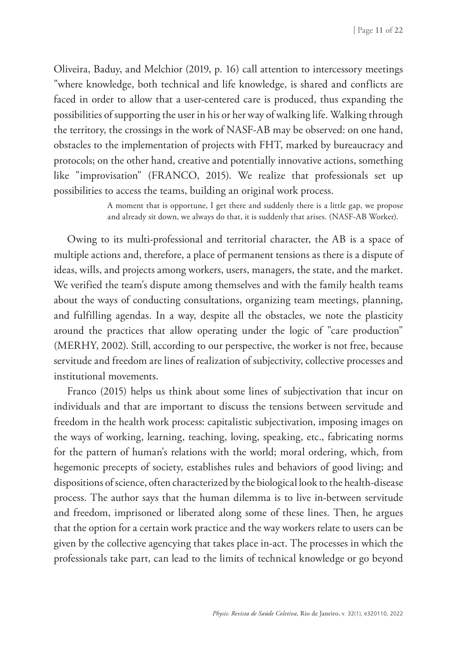Oliveira, Baduy, and Melchior (2019, p. 16) call attention to intercessory meetings "where knowledge, both technical and life knowledge, is shared and conflicts are faced in order to allow that a user-centered care is produced, thus expanding the possibilities of supporting the user in his or her way of walking life. Walking through the territory, the crossings in the work of NASF-AB may be observed: on one hand, obstacles to the implementation of projects with FHT, marked by bureaucracy and protocols; on the other hand, creative and potentially innovative actions, something like "improvisation" (FRANCO, 2015). We realize that professionals set up possibilities to access the teams, building an original work process.

> A moment that is opportune, I get there and suddenly there is a little gap, we propose and already sit down, we always do that, it is suddenly that arises. (NASF-AB Worker).

Owing to its multi-professional and territorial character, the AB is a space of multiple actions and, therefore, a place of permanent tensions as there is a dispute of ideas, wills, and projects among workers, users, managers, the state, and the market. We verified the team's dispute among themselves and with the family health teams about the ways of conducting consultations, organizing team meetings, planning, and fulfilling agendas. In a way, despite all the obstacles, we note the plasticity around the practices that allow operating under the logic of "care production" (MERHY, 2002). Still, according to our perspective, the worker is not free, because servitude and freedom are lines of realization of subjectivity, collective processes and institutional movements.

Franco (2015) helps us think about some lines of subjectivation that incur on individuals and that are important to discuss the tensions between servitude and freedom in the health work process: capitalistic subjectivation, imposing images on the ways of working, learning, teaching, loving, speaking, etc., fabricating norms for the pattern of human's relations with the world; moral ordering, which, from hegemonic precepts of society, establishes rules and behaviors of good living; and dispositions of science, often characterized by the biological look to the health-disease process. The author says that the human dilemma is to live in-between servitude and freedom, imprisoned or liberated along some of these lines. Then, he argues that the option for a certain work practice and the way workers relate to users can be given by the collective agencying that takes place in-act. The processes in which the professionals take part, can lead to the limits of technical knowledge or go beyond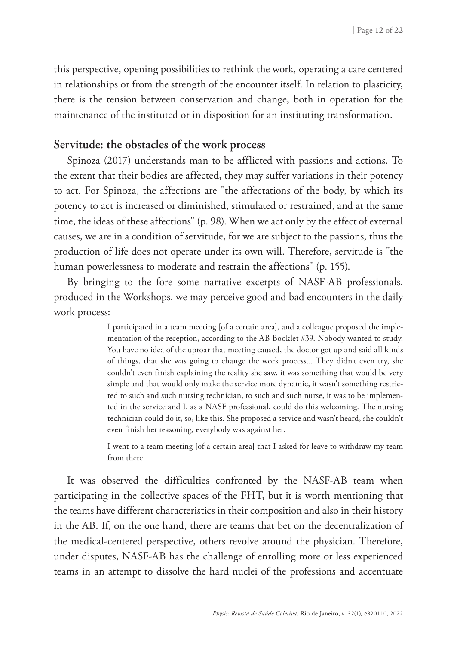this perspective, opening possibilities to rethink the work, operating a care centered in relationships or from the strength of the encounter itself. In relation to plasticity, there is the tension between conservation and change, both in operation for the maintenance of the instituted or in disposition for an instituting transformation.

#### **Servitude: the obstacles of the work process**

Spinoza (2017) understands man to be afflicted with passions and actions. To the extent that their bodies are affected, they may suffer variations in their potency to act. For Spinoza, the affections are "the affectations of the body, by which its potency to act is increased or diminished, stimulated or restrained, and at the same time, the ideas of these affections" (p. 98). When we act only by the effect of external causes, we are in a condition of servitude, for we are subject to the passions, thus the production of life does not operate under its own will. Therefore, servitude is "the human powerlessness to moderate and restrain the affections" (p. 155).

By bringing to the fore some narrative excerpts of NASF-AB professionals, produced in the Workshops, we may perceive good and bad encounters in the daily work process:

> I participated in a team meeting [of a certain area], and a colleague proposed the implementation of the reception, according to the AB Booklet #39. Nobody wanted to study. You have no idea of the uproar that meeting caused, the doctor got up and said all kinds of things, that she was going to change the work process... They didn't even try, she couldn't even finish explaining the reality she saw, it was something that would be very simple and that would only make the service more dynamic, it wasn't something restricted to such and such nursing technician, to such and such nurse, it was to be implemented in the service and I, as a NASF professional, could do this welcoming. The nursing technician could do it, so, like this. She proposed a service and wasn't heard, she couldn't even finish her reasoning, everybody was against her.

> I went to a team meeting [of a certain area] that I asked for leave to withdraw my team from there.

It was observed the difficulties confronted by the NASF-AB team when participating in the collective spaces of the FHT, but it is worth mentioning that the teams have different characteristics in their composition and also in their history in the AB. If, on the one hand, there are teams that bet on the decentralization of the medical-centered perspective, others revolve around the physician. Therefore, under disputes, NASF-AB has the challenge of enrolling more or less experienced teams in an attempt to dissolve the hard nuclei of the professions and accentuate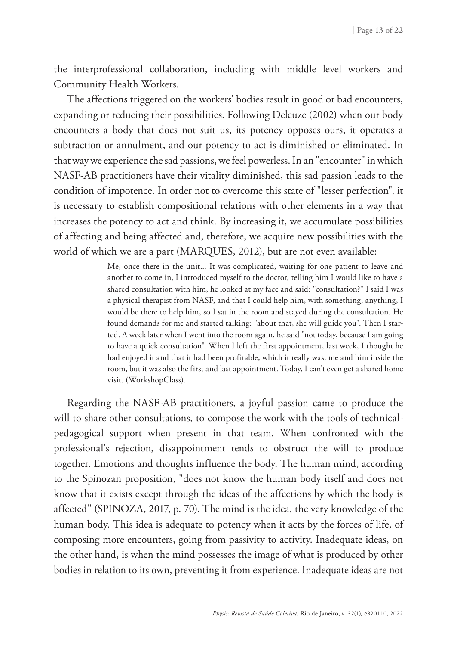the interprofessional collaboration, including with middle level workers and Community Health Workers.

The affections triggered on the workers' bodies result in good or bad encounters, expanding or reducing their possibilities. Following Deleuze (2002) when our body encounters a body that does not suit us, its potency opposes ours, it operates a subtraction or annulment, and our potency to act is diminished or eliminated. In that way we experience the sad passions, we feel powerless. In an "encounter" in which NASF-AB practitioners have their vitality diminished, this sad passion leads to the condition of impotence. In order not to overcome this state of "lesser perfection", it is necessary to establish compositional relations with other elements in a way that increases the potency to act and think. By increasing it, we accumulate possibilities of affecting and being affected and, therefore, we acquire new possibilities with the world of which we are a part (MARQUES, 2012), but are not even available:

> Me, once there in the unit... It was complicated, waiting for one patient to leave and another to come in, I introduced myself to the doctor, telling him I would like to have a shared consultation with him, he looked at my face and said: "consultation?" I said I was a physical therapist from NASF, and that I could help him, with something, anything, I would be there to help him, so I sat in the room and stayed during the consultation. He found demands for me and started talking: "about that, she will guide you". Then I started. A week later when I went into the room again, he said "not today, because I am going to have a quick consultation". When I left the first appointment, last week, I thought he had enjoyed it and that it had been profitable, which it really was, me and him inside the room, but it was also the first and last appointment. Today, I can't even get a shared home visit. (WorkshopClass).

Regarding the NASF-AB practitioners, a joyful passion came to produce the will to share other consultations, to compose the work with the tools of technicalpedagogical support when present in that team. When confronted with the professional's rejection, disappointment tends to obstruct the will to produce together. Emotions and thoughts influence the body. The human mind, according to the Spinozan proposition, "does not know the human body itself and does not know that it exists except through the ideas of the affections by which the body is affected" (SPINOZA, 2017, p. 70). The mind is the idea, the very knowledge of the human body. This idea is adequate to potency when it acts by the forces of life, of composing more encounters, going from passivity to activity. Inadequate ideas, on the other hand, is when the mind possesses the image of what is produced by other bodies in relation to its own, preventing it from experience. Inadequate ideas are not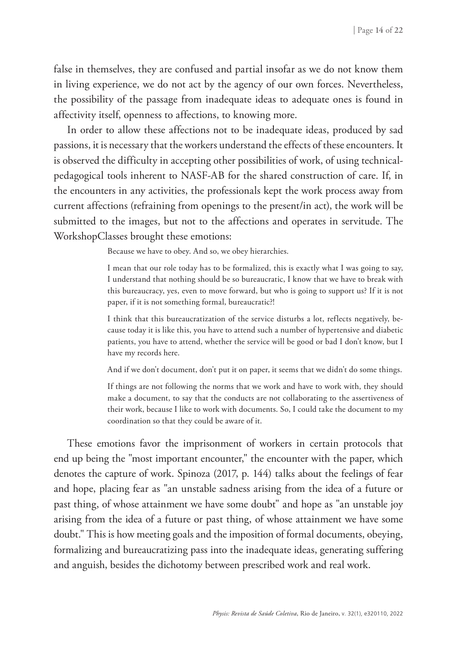false in themselves, they are confused and partial insofar as we do not know them in living experience, we do not act by the agency of our own forces. Nevertheless, the possibility of the passage from inadequate ideas to adequate ones is found in affectivity itself, openness to affections, to knowing more.

In order to allow these affections not to be inadequate ideas, produced by sad passions, it is necessary that the workers understand the effects of these encounters. It is observed the difficulty in accepting other possibilities of work, of using technicalpedagogical tools inherent to NASF-AB for the shared construction of care. If, in the encounters in any activities, the professionals kept the work process away from current affections (refraining from openings to the present/in act), the work will be submitted to the images, but not to the affections and operates in servitude. The WorkshopClasses brought these emotions:

Because we have to obey. And so, we obey hierarchies.

I mean that our role today has to be formalized, this is exactly what I was going to say, I understand that nothing should be so bureaucratic, I know that we have to break with this bureaucracy, yes, even to move forward, but who is going to support us? If it is not paper, if it is not something formal, bureaucratic?!

I think that this bureaucratization of the service disturbs a lot, reflects negatively, because today it is like this, you have to attend such a number of hypertensive and diabetic patients, you have to attend, whether the service will be good or bad I don't know, but I have my records here.

And if we don't document, don't put it on paper, it seems that we didn't do some things.

If things are not following the norms that we work and have to work with, they should make a document, to say that the conducts are not collaborating to the assertiveness of their work, because I like to work with documents. So, I could take the document to my coordination so that they could be aware of it.

These emotions favor the imprisonment of workers in certain protocols that end up being the "most important encounter," the encounter with the paper, which denotes the capture of work. Spinoza (2017, p. 144) talks about the feelings of fear and hope, placing fear as "an unstable sadness arising from the idea of a future or past thing, of whose attainment we have some doubt" and hope as "an unstable joy arising from the idea of a future or past thing, of whose attainment we have some doubt." This is how meeting goals and the imposition of formal documents, obeying, formalizing and bureaucratizing pass into the inadequate ideas, generating suffering and anguish, besides the dichotomy between prescribed work and real work.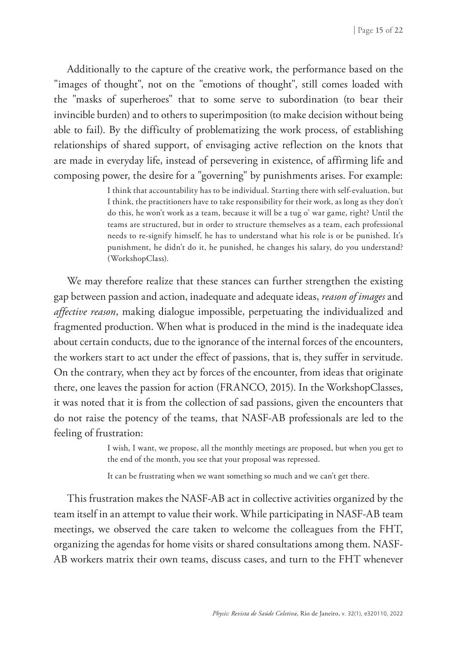Additionally to the capture of the creative work, the performance based on the "images of thought", not on the "emotions of thought", still comes loaded with the "masks of superheroes" that to some serve to subordination (to bear their invincible burden) and to others to superimposition (to make decision without being able to fail). By the difficulty of problematizing the work process, of establishing relationships of shared support, of envisaging active reflection on the knots that are made in everyday life, instead of persevering in existence, of affirming life and composing power, the desire for a "governing" by punishments arises. For example:

> I think that accountability has to be individual. Starting there with self-evaluation, but I think, the practitioners have to take responsibility for their work, as long as they don't do this, he won't work as a team, because it will be a tug o' war game, right? Until the teams are structured, but in order to structure themselves as a team, each professional needs to re-signify himself, he has to understand what his role is or be punished. It's punishment, he didn't do it, he punished, he changes his salary, do you understand? (WorkshopClass).

We may therefore realize that these stances can further strengthen the existing gap between passion and action, inadequate and adequate ideas, *reason of images* and *affective reason*, making dialogue impossible, perpetuating the individualized and fragmented production. When what is produced in the mind is the inadequate idea about certain conducts, due to the ignorance of the internal forces of the encounters, the workers start to act under the effect of passions, that is, they suffer in servitude. On the contrary, when they act by forces of the encounter, from ideas that originate there, one leaves the passion for action (FRANCO, 2015). In the WorkshopClasses, it was noted that it is from the collection of sad passions, given the encounters that do not raise the potency of the teams, that NASF-AB professionals are led to the feeling of frustration:

> I wish, I want, we propose, all the monthly meetings are proposed, but when you get to the end of the month, you see that your proposal was repressed.

It can be frustrating when we want something so much and we can't get there.

This frustration makes the NASF-AB act in collective activities organized by the team itself in an attempt to value their work. While participating in NASF-AB team meetings, we observed the care taken to welcome the colleagues from the FHT, organizing the agendas for home visits or shared consultations among them. NASF-AB workers matrix their own teams, discuss cases, and turn to the FHT whenever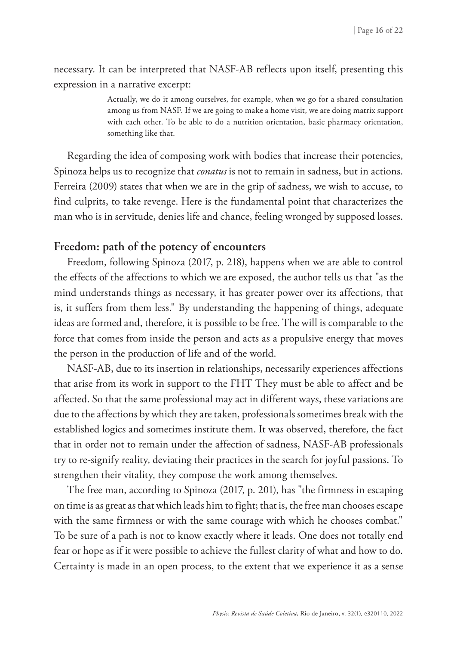necessary. It can be interpreted that NASF-AB reflects upon itself, presenting this expression in a narrative excerpt:

> Actually, we do it among ourselves, for example, when we go for a shared consultation among us from NASF. If we are going to make a home visit, we are doing matrix support with each other. To be able to do a nutrition orientation, basic pharmacy orientation, something like that.

Regarding the idea of composing work with bodies that increase their potencies, Spinoza helps us to recognize that *conatus* is not to remain in sadness, but in actions. Ferreira (2009) states that when we are in the grip of sadness, we wish to accuse, to find culprits, to take revenge. Here is the fundamental point that characterizes the man who is in servitude, denies life and chance, feeling wronged by supposed losses.

### **Freedom: path of the potency of encounters**

Freedom, following Spinoza (2017, p. 218), happens when we are able to control the effects of the affections to which we are exposed, the author tells us that "as the mind understands things as necessary, it has greater power over its affections, that is, it suffers from them less." By understanding the happening of things, adequate ideas are formed and, therefore, it is possible to be free. The will is comparable to the force that comes from inside the person and acts as a propulsive energy that moves the person in the production of life and of the world.

NASF-AB, due to its insertion in relationships, necessarily experiences affections that arise from its work in support to the FHT They must be able to affect and be affected. So that the same professional may act in different ways, these variations are due to the affections by which they are taken, professionals sometimes break with the established logics and sometimes institute them. It was observed, therefore, the fact that in order not to remain under the affection of sadness, NASF-AB professionals try to re-signify reality, deviating their practices in the search for joyful passions. To strengthen their vitality, they compose the work among themselves.

The free man, according to Spinoza (2017, p. 201), has "the firmness in escaping on time is as great as that which leads him to fight; that is, the free man chooses escape with the same firmness or with the same courage with which he chooses combat." To be sure of a path is not to know exactly where it leads. One does not totally end fear or hope as if it were possible to achieve the fullest clarity of what and how to do. Certainty is made in an open process, to the extent that we experience it as a sense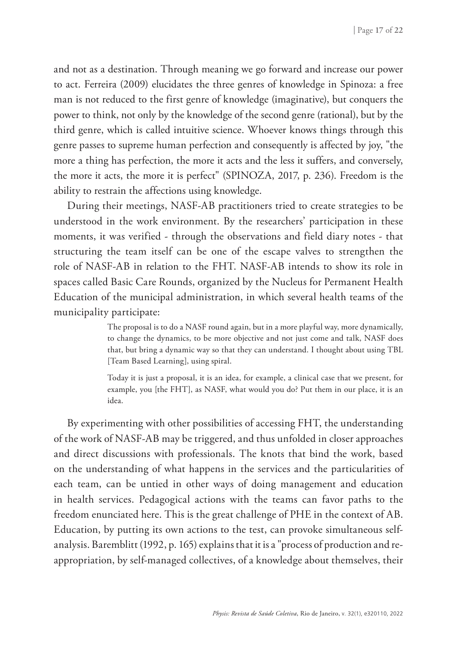and not as a destination. Through meaning we go forward and increase our power to act. Ferreira (2009) elucidates the three genres of knowledge in Spinoza: a free man is not reduced to the first genre of knowledge (imaginative), but conquers the power to think, not only by the knowledge of the second genre (rational), but by the third genre, which is called intuitive science. Whoever knows things through this genre passes to supreme human perfection and consequently is affected by joy, "the more a thing has perfection, the more it acts and the less it suffers, and conversely, the more it acts, the more it is perfect" (SPINOZA, 2017, p. 236). Freedom is the ability to restrain the affections using knowledge.

During their meetings, NASF-AB practitioners tried to create strategies to be understood in the work environment. By the researchers' participation in these moments, it was verified - through the observations and field diary notes - that structuring the team itself can be one of the escape valves to strengthen the role of NASF-AB in relation to the FHT. NASF-AB intends to show its role in spaces called Basic Care Rounds, organized by the Nucleus for Permanent Health Education of the municipal administration, in which several health teams of the municipality participate:

> The proposal is to do a NASF round again, but in a more playful way, more dynamically, to change the dynamics, to be more objective and not just come and talk, NASF does that, but bring a dynamic way so that they can understand. I thought about using TBL [Team Based Learning], using spiral.

> Today it is just a proposal, it is an idea, for example, a clinical case that we present, for example, you [the FHT], as NASF, what would you do? Put them in our place, it is an idea.

By experimenting with other possibilities of accessing FHT, the understanding of the work of NASF-AB may be triggered, and thus unfolded in closer approaches and direct discussions with professionals. The knots that bind the work, based on the understanding of what happens in the services and the particularities of each team, can be untied in other ways of doing management and education in health services. Pedagogical actions with the teams can favor paths to the freedom enunciated here. This is the great challenge of PHE in the context of AB. Education, by putting its own actions to the test, can provoke simultaneous selfanalysis. Baremblitt (1992, p. 165) explains that it is a "process of production and reappropriation, by self-managed collectives, of a knowledge about themselves, their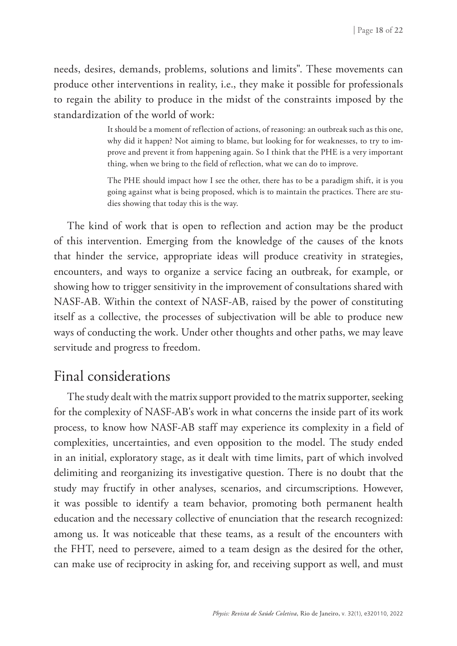needs, desires, demands, problems, solutions and limits". These movements can produce other interventions in reality, i.e., they make it possible for professionals to regain the ability to produce in the midst of the constraints imposed by the standardization of the world of work:

> It should be a moment of reflection of actions, of reasoning: an outbreak such as this one, why did it happen? Not aiming to blame, but looking for for weaknesses, to try to improve and prevent it from happening again. So I think that the PHE is a very important thing, when we bring to the field of reflection, what we can do to improve.

> The PHE should impact how I see the other, there has to be a paradigm shift, it is you going against what is being proposed, which is to maintain the practices. There are studies showing that today this is the way.

The kind of work that is open to reflection and action may be the product of this intervention. Emerging from the knowledge of the causes of the knots that hinder the service, appropriate ideas will produce creativity in strategies, encounters, and ways to organize a service facing an outbreak, for example, or showing how to trigger sensitivity in the improvement of consultations shared with NASF-AB. Within the context of NASF-AB, raised by the power of constituting itself as a collective, the processes of subjectivation will be able to produce new ways of conducting the work. Under other thoughts and other paths, we may leave servitude and progress to freedom.

# Final considerations

The study dealt with the matrix support provided to the matrix supporter, seeking for the complexity of NASF-AB's work in what concerns the inside part of its work process, to know how NASF-AB staff may experience its complexity in a field of complexities, uncertainties, and even opposition to the model. The study ended in an initial, exploratory stage, as it dealt with time limits, part of which involved delimiting and reorganizing its investigative question. There is no doubt that the study may fructify in other analyses, scenarios, and circumscriptions. However, it was possible to identify a team behavior, promoting both permanent health education and the necessary collective of enunciation that the research recognized: among us. It was noticeable that these teams, as a result of the encounters with the FHT, need to persevere, aimed to a team design as the desired for the other, can make use of reciprocity in asking for, and receiving support as well, and must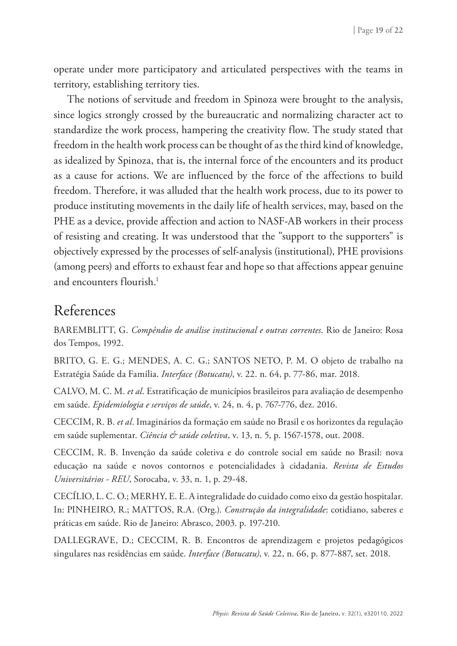operate under more participatory and articulated perspectives with the teams in territory, establishing territory ties.

The notions of servitude and freedom in Spinoza were brought to the analysis, since logics strongly crossed by the bureaucratic and normalizing character act to standardize the work process, hampering the creativity flow. The study stated that freedom in the health work process can be thought of as the third kind of knowledge, as idealized by Spinoza, that is, the internal force of the encounters and its product as a cause for actions. We are influenced by the force of the affections to build freedom. Therefore, it was alluded that the health work process, due to its power to produce instituting movements in the daily life of health services, may, based on the PHE as a device, provide affection and action to NASF-AB workers in their process of resisting and creating. It was understood that the "support to the supporters" is objectively expressed by the processes of self-analysis (institutional), PHE provisions (among peers) and efforts to exhaust fear and hope so that affections appear genuine and encounters flourish.<sup>1</sup>

# References

BAREMBLITT, G. *Compêndio de análise institucional e outras correntes*. Rio de Janeiro: Rosa dos Tempos, 1992.

BRITO, G. E. G.; MENDES, A. C. G.; SANTOS NETO, P. M. O objeto de trabalho na Estratégia Saúde da Família. *Interface (Botucatu)*, v. 22. n. 64, p. 77-86, mar. 2018.

CALVO, M. C. M. *et al*. Estratificação de municípios brasileiros para avaliação de desempenho em saúde. *Epidemiologia e serviços de saúde*, v. 24, n. 4, p. 767-776, dez. 2016.

CECCIM, R. B. *et al*. Imaginários da formação em saúde no Brasil e os horizontes da regulação em saúde suplementar. *Ciência & saúde coletiva*, v. 13, n. 5, p. 1567-1578, out. 2008.

CECCIM, R. B. Invenção da saúde coletiva e do controle social em saúde no Brasil: nova educação na saúde e novos contornos e potencialidades à cidadania. *Revista de Estudos Universitários - REU*, Sorocaba, v. 33, n. 1, p. 29-48.

CECÍLIO, L. C. O.; MERHY, E. E. A integralidade do cuidado como eixo da gestão hospitalar. In: PINHEIRO, R.; MATTOS, R.A. (Org.). *Construção da integralidade*: cotidiano, saberes e práticas em saúde. Rio de Janeiro: Abrasco, 2003. p. 197-210.

DALLEGRAVE, D.; CECCIM, R. B. Encontros de aprendizagem e projetos pedagógicos singulares nas residências em saúde. *Interface (Botucatu)*, v. 22, n. 66, p. 877-887, set. 2018.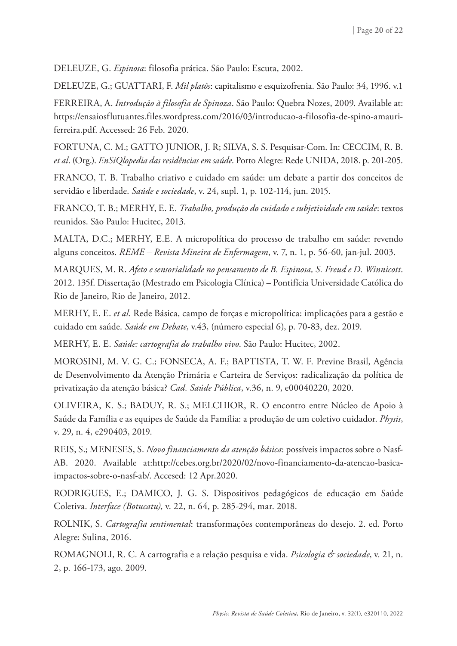DELEUZE, G. *Espinosa*: filosofia prática. São Paulo: Escuta, 2002.

DELEUZE, G.; GUATTARI, F. *Mil platôs*: capitalismo e esquizofrenia. São Paulo: 34, 1996. v.1

FERREIRA, A. *Introdução à filosofia de Spinoza*. São Paulo: Quebra Nozes, 2009. Available at: https://ensaiosflutuantes.files.wordpress.com/2016/03/introducao-a-filosofia-de-spino-amauriferreira.pdf. Accessed: 26 Feb. 2020.

FORTUNA, C. M.; GATTO JUNIOR, J. R; SILVA, S. S. Pesquisar-Com. In: CECCIM, R. B. *et al*. (Org.). *EnSiQlopedia das residências em saúde*. Porto Alegre: Rede UNIDA, 2018. p. 201-205.

FRANCO, T. B. Trabalho criativo e cuidado em saúde: um debate a partir dos conceitos de servidão e liberdade. *Saúde e sociedade*, v. 24, supl. 1, p. 102-114, jun. 2015.

FRANCO, T. B.; MERHY, E. E. *Trabalho, produção do cuidado e subjetividade em saúde*: textos reunidos. São Paulo: Hucitec, 2013.

MALTA, D.C.; MERHY, E.E. A micropolítica do processo de trabalho em saúde: revendo alguns conceitos. *REME – Revista Mineira de Enfermagem*, v. 7, n. 1, p. 56-60, jan-jul. 2003.

MARQUES, M. R. *Afeto e sensorialidade no pensamento de B. Espinosa, S. Freud e D. Winnicott*. 2012. 135f. Dissertação (Mestrado em Psicologia Clínica) – Pontifícia Universidade Católica do Rio de Janeiro, Rio de Janeiro, 2012.

MERHY, E. E. *et al*. Rede Básica, campo de forças e micropolítica: implicações para a gestão e cuidado em saúde. *Saúde em Debate*, v.43, (número especial 6), p. 70-83, dez. 2019.

MERHY, E. E. *Saúde: cartografia do trabalho vivo*. São Paulo: Hucitec, 2002.

MOROSINI, M. V. G. C.; FONSECA, A. F.; BAPTISTA, T. W. F. Previne Brasil, Agência de Desenvolvimento da Atenção Primária e Carteira de Serviços: radicalização da política de privatização da atenção básica? *Cad. Saúde Pública*, v.36, n. 9, e00040220, 2020.

OLIVEIRA, K. S.; BADUY, R. S.; MELCHIOR, R. O encontro entre Núcleo de Apoio à Saúde da Família e as equipes de Saúde da Família: a produção de um coletivo cuidador. *Physis*, v. 29, n. 4, e290403, 2019.

REIS, S.; MENESES, S. *Novo financiamento da atenção básica*: possíveis impactos sobre o Nasf-AB. 2020. Available at:http://cebes.org.br/2020/02/novo-financiamento-da-atencao-basicaimpactos-sobre-o-nasf-ab/. Accesed: 12 Apr.2020.

RODRIGUES, E.; DAMICO, J. G. S. Dispositivos pedagógicos de educação em Saúde Coletiva. *Interface (Botucatu)*, v. 22, n. 64, p. 285-294, mar. 2018.

ROLNIK, S. *Cartografia sentimental*: transformações contemporâneas do desejo. 2. ed. Porto Alegre: Sulina, 2016.

ROMAGNOLI, R. C. A cartografia e a relação pesquisa e vida. *Psicologia & sociedade*, v. 21, n. 2, p. 166-173, ago. 2009.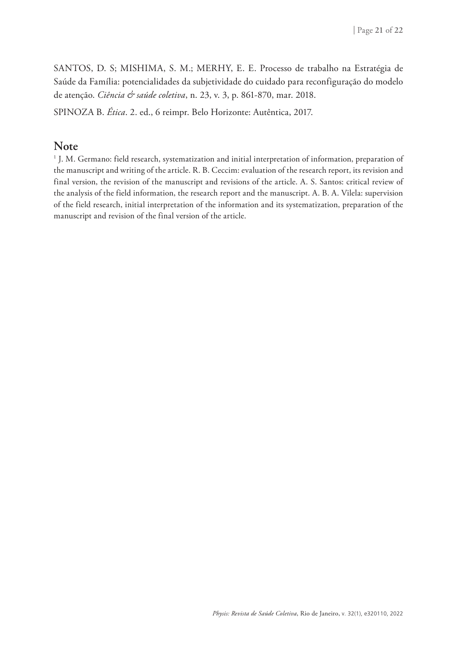SANTOS, D. S; MISHIMA, S. M.; MERHY, E. E. Processo de trabalho na Estratégia de Saúde da Família: potencialidades da subjetividade do cuidado para reconfiguração do modelo de atenção. *Ciência & saúde coletiva*, n. 23, v. 3, p. 861-870, mar. 2018.

SPINOZA B. *Ética*. 2. ed., 6 reimpr. Belo Horizonte: Autêntica, 2017.

#### **Note**

1 J. M. Germano: field research, systematization and initial interpretation of information, preparation of the manuscript and writing of the article. R. B. Ceccim: evaluation of the research report, its revision and final version, the revision of the manuscript and revisions of the article. A. S. Santos: critical review of the analysis of the field information, the research report and the manuscript. A. B. A. Vilela: supervision of the field research, initial interpretation of the information and its systematization, preparation of the manuscript and revision of the final version of the article.